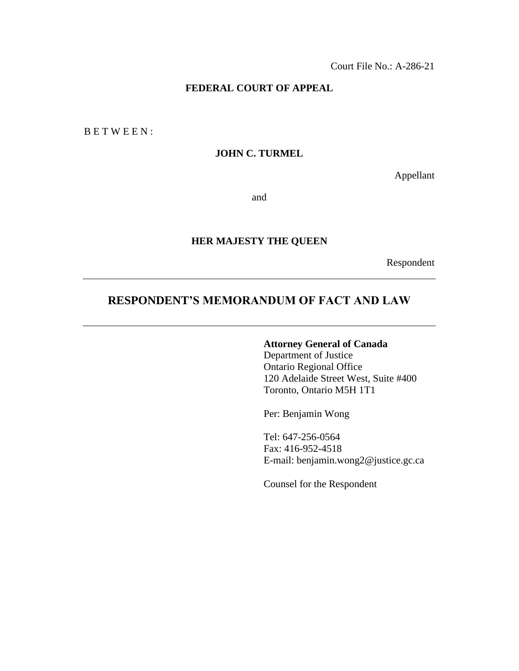#### **FEDERAL COURT OF APPEAL**

B E T W E E N :

#### **JOHN C. TURMEL**

Appellant

and

## **HER MAJESTY THE QUEEN**

Respondent

# **RESPONDENT'S MEMORANDUM OF FACT AND LAW**

# **Attorney General of Canada**

Department of Justice Ontario Regional Office 120 Adelaide Street West, Suite #400 Toronto, Ontario M5H 1T1

Per: Benjamin Wong

Tel: 647-256-0564 Fax: 416-952-4518 E-mail: benjamin.wong2@justice.gc.ca

Counsel for the Respondent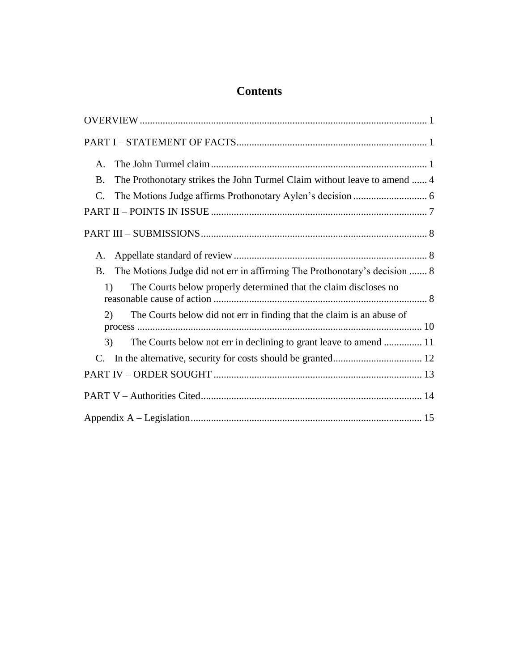# **Contents**

| $\mathsf{A}$ .                                                                        |
|---------------------------------------------------------------------------------------|
| The Prothonotary strikes the John Turmel Claim without leave to amend  4<br><b>B.</b> |
| $\mathcal{C}$ .                                                                       |
|                                                                                       |
|                                                                                       |
| А.                                                                                    |
| The Motions Judge did not err in affirming The Prothonotary's decision  8<br>B.       |
| The Courts below properly determined that the claim discloses no<br>1)                |
| The Courts below did not err in finding that the claim is an abuse of<br>(2)          |
| The Courts below not err in declining to grant leave to amend  11<br>3)               |
| C.                                                                                    |
|                                                                                       |
|                                                                                       |
|                                                                                       |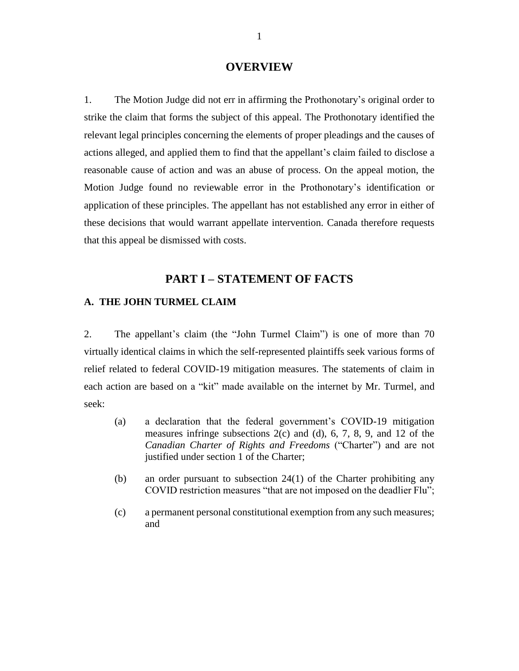#### **OVERVIEW**

<span id="page-2-0"></span>1. The Motion Judge did not err in affirming the Prothonotary's original order to strike the claim that forms the subject of this appeal. The Prothonotary identified the relevant legal principles concerning the elements of proper pleadings and the causes of actions alleged, and applied them to find that the appellant's claim failed to disclose a reasonable cause of action and was an abuse of process. On the appeal motion, the Motion Judge found no reviewable error in the Prothonotary's identification or application of these principles. The appellant has not established any error in either of these decisions that would warrant appellate intervention. Canada therefore requests that this appeal be dismissed with costs.

# **PART I – STATEMENT OF FACTS**

#### <span id="page-2-2"></span><span id="page-2-1"></span>**A. THE JOHN TURMEL CLAIM**

2. The appellant's claim (the "John Turmel Claim") is one of more than 70 virtually identical claims in which the self-represented plaintiffs seek various forms of relief related to federal COVID-19 mitigation measures. The statements of claim in each action are based on a "kit" made available on the internet by Mr. Turmel, and seek:

- (a) a declaration that the federal government's COVID-19 mitigation measures infringe subsections  $2(c)$  and  $(d)$ , 6, 7, 8, 9, and 12 of the *Canadian Charter of Rights and Freedoms* ("Charter") and are not justified under section 1 of the Charter;
- (b) an order pursuant to subsection 24(1) of the Charter prohibiting any COVID restriction measures "that are not imposed on the deadlier Flu";
- (c) a permanent personal constitutional exemption from any such measures; and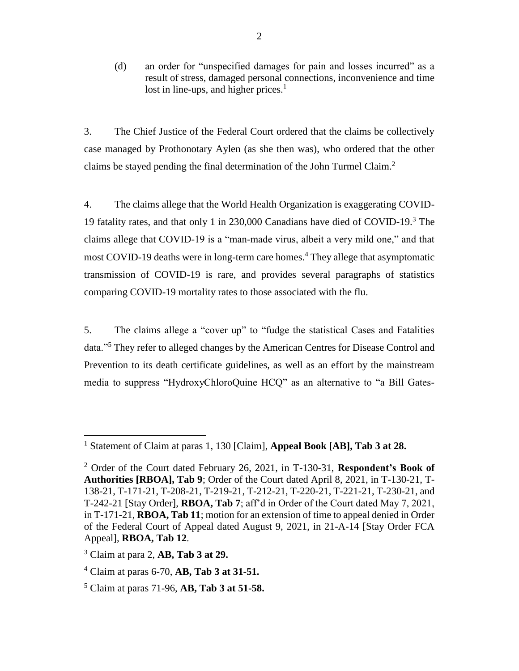(d) an order for "unspecified damages for pain and losses incurred" as a result of stress, damaged personal connections, inconvenience and time lost in line-ups, and higher prices. $<sup>1</sup>$ </sup>

3. The Chief Justice of the Federal Court ordered that the claims be collectively case managed by Prothonotary Aylen (as she then was), who ordered that the other claims be stayed pending the final determination of the John Turmel Claim.<sup>2</sup>

4. The claims allege that the World Health Organization is exaggerating COVID-19 fatality rates, and that only 1 in 230,000 Canadians have died of COVID-19.<sup>3</sup> The claims allege that COVID-19 is a "man-made virus, albeit a very mild one," and that most COVID-19 deaths were in long-term care homes.<sup>4</sup> They allege that asymptomatic transmission of COVID-19 is rare, and provides several paragraphs of statistics comparing COVID-19 mortality rates to those associated with the flu.

5. The claims allege a "cover up" to "fudge the statistical Cases and Fatalities data."<sup>5</sup> They refer to alleged changes by the American Centres for Disease Control and Prevention to its death certificate guidelines, as well as an effort by the mainstream media to suppress "HydroxyChloroQuine HCQ" as an alternative to "a Bill Gates-

<sup>1</sup> Statement of Claim at paras 1, 130 [Claim], **Appeal Book [AB], Tab 3 at 28.**

<sup>2</sup> Order of the Court dated February 26, 2021, in T-130-31, **Respondent's Book of Authorities [RBOA], Tab 9**; Order of the Court dated April 8, 2021, in T-130-21, T-138-21, T-171-21, T-208-21, T-219-21, T-212-21, T-220-21, T-221-21, T-230-21, and T-242-21 [Stay Order], **RBOA, Tab 7**; aff'd in Order of the Court dated May 7, 2021, in T-171-21, **RBOA, Tab 11**; motion for an extension of time to appeal denied in Order of the Federal Court of Appeal dated August 9, 2021, in 21-A-14 [Stay Order FCA Appeal], **RBOA, Tab 12**.

<sup>3</sup> Claim at para 2, **AB, Tab 3 at 29.**

<sup>4</sup> Claim at paras 6-70, **AB, Tab 3 at 31-51.**

<sup>5</sup> Claim at paras 71-96, **AB, Tab 3 at 51-58.**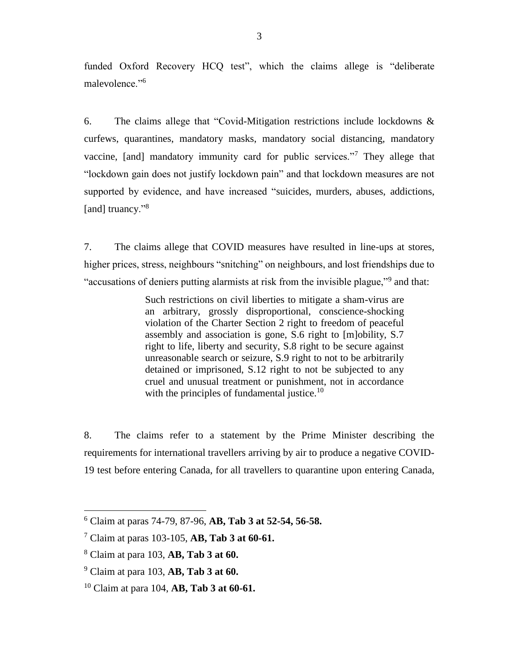funded Oxford Recovery HCQ test", which the claims allege is "deliberate malevolence."<sup>6</sup>

6. The claims allege that "Covid-Mitigation restrictions include lockdowns & curfews, quarantines, mandatory masks, mandatory social distancing, mandatory vaccine, [and] mandatory immunity card for public services."<sup>7</sup> They allege that "lockdown gain does not justify lockdown pain" and that lockdown measures are not supported by evidence, and have increased "suicides, murders, abuses, addictions, [and] truancy."<sup>8</sup>

7. The claims allege that COVID measures have resulted in line-ups at stores, higher prices, stress, neighbours "snitching" on neighbours, and lost friendships due to "accusations of deniers putting alarmists at risk from the invisible plague,"<sup>9</sup> and that:

> Such restrictions on civil liberties to mitigate a sham-virus are an arbitrary, grossly disproportional, conscience-shocking violation of the Charter Section 2 right to freedom of peaceful assembly and association is gone, S.6 right to [m]obility, S.7 right to life, liberty and security, S.8 right to be secure against unreasonable search or seizure, S.9 right to not to be arbitrarily detained or imprisoned, S.12 right to not be subjected to any cruel and unusual treatment or punishment, not in accordance with the principles of fundamental justice. $10$

8. The claims refer to a statement by the Prime Minister describing the requirements for international travellers arriving by air to produce a negative COVID-19 test before entering Canada, for all travellers to quarantine upon entering Canada,

<sup>6</sup> Claim at paras 74-79, 87-96, **AB, Tab 3 at 52-54, 56-58.**

<sup>7</sup> Claim at paras 103-105, **AB, Tab 3 at 60-61.**

<sup>8</sup> Claim at para 103, **AB, Tab 3 at 60.**

<sup>9</sup> Claim at para 103, **AB, Tab 3 at 60.**

<sup>10</sup> Claim at para 104, **AB, Tab 3 at 60-61.**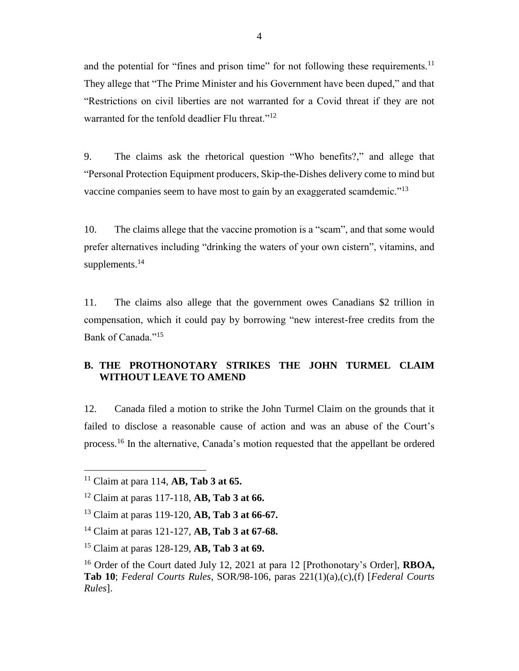and the potential for "fines and prison time" for not following these requirements.<sup>11</sup> They allege that "The Prime Minister and his Government have been duped," and that "Restrictions on civil liberties are not warranted for a Covid threat if they are not warranted for the tenfold deadlier Flu threat."<sup>12</sup>

9. The claims ask the rhetorical question "Who benefits?," and allege that "Personal Protection Equipment producers, Skip-the-Dishes delivery come to mind but vaccine companies seem to have most to gain by an exaggerated scamdemic."<sup>13</sup>

10. The claims allege that the vaccine promotion is a "scam", and that some would prefer alternatives including "drinking the waters of your own cistern", vitamins, and supplements.<sup>14</sup>

11. The claims also allege that the government owes Canadians \$2 trillion in compensation, which it could pay by borrowing "new interest-free credits from the Bank of Canada."<sup>15</sup>

## <span id="page-5-0"></span>**B. THE PROTHONOTARY STRIKES THE JOHN TURMEL CLAIM WITHOUT LEAVE TO AMEND**

12. Canada filed a motion to strike the John Turmel Claim on the grounds that it failed to disclose a reasonable cause of action and was an abuse of the Court's process.<sup>16</sup> In the alternative, Canada's motion requested that the appellant be ordered

<sup>11</sup> Claim at para 114, **AB, Tab 3 at 65.**

<sup>12</sup> Claim at paras 117-118, **AB, Tab 3 at 66.**

<sup>13</sup> Claim at paras 119-120, **AB, Tab 3 at 66-67.**

<sup>14</sup> Claim at paras 121-127, **AB, Tab 3 at 67-68.**

<sup>15</sup> Claim at paras 128-129, **AB, Tab 3 at 69.**

<sup>16</sup> Order of the Court dated July 12, 2021 at para 12 [Prothonotary's Order], **RBOA, Tab 10**; *Federal Courts Rules*, SOR/98-106, paras 221(1)(a),(c),(f) [*Federal Courts Rules*].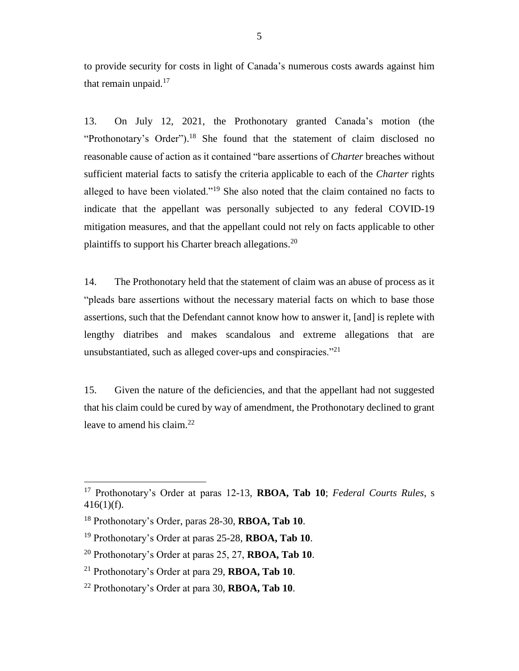to provide security for costs in light of Canada's numerous costs awards against him that remain unpaid. $17$ 

13. On July 12, 2021, the Prothonotary granted Canada's motion (the "Prothonotary's Order").<sup>18</sup> She found that the statement of claim disclosed no reasonable cause of action as it contained "bare assertions of *Charter* breaches without sufficient material facts to satisfy the criteria applicable to each of the *Charter* rights alleged to have been violated."<sup>19</sup> She also noted that the claim contained no facts to indicate that the appellant was personally subjected to any federal COVID-19 mitigation measures, and that the appellant could not rely on facts applicable to other plaintiffs to support his Charter breach allegations.<sup>20</sup>

14. The Prothonotary held that the statement of claim was an abuse of process as it "pleads bare assertions without the necessary material facts on which to base those assertions, such that the Defendant cannot know how to answer it, [and] is replete with lengthy diatribes and makes scandalous and extreme allegations that are unsubstantiated, such as alleged cover-ups and conspiracies."<sup>21</sup>

15. Given the nature of the deficiencies, and that the appellant had not suggested that his claim could be cured by way of amendment, the Prothonotary declined to grant leave to amend his claim.<sup>22</sup>

<sup>17</sup> Prothonotary's Order at paras 12-13, **RBOA, Tab 10**; *Federal Courts Rules*, s 416(1)(f).

<sup>18</sup> Prothonotary's Order, paras 28-30, **RBOA, Tab 10**.

<sup>19</sup> Prothonotary's Order at paras 25-28, **RBOA, Tab 10**.

<sup>20</sup> Prothonotary's Order at paras 25, 27, **RBOA, Tab 10**.

<sup>21</sup> Prothonotary's Order at para 29, **RBOA, Tab 10**.

<sup>22</sup> Prothonotary's Order at para 30, **RBOA, Tab 10**.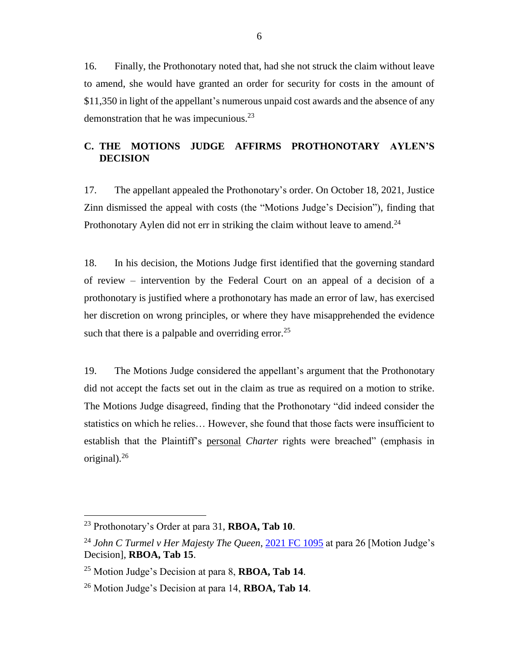16. Finally, the Prothonotary noted that, had she not struck the claim without leave to amend, she would have granted an order for security for costs in the amount of \$11,350 in light of the appellant's numerous unpaid cost awards and the absence of any demonstration that he was impecunious. $^{23}$ 

## <span id="page-7-0"></span>**C. THE MOTIONS JUDGE AFFIRMS PROTHONOTARY AYLEN'S DECISION**

17. The appellant appealed the Prothonotary's order. On October 18, 2021, Justice Zinn dismissed the appeal with costs (the "Motions Judge's Decision"), finding that Prothonotary Aylen did not err in striking the claim without leave to amend.<sup>24</sup>

18. In his decision, the Motions Judge first identified that the governing standard of review – intervention by the Federal Court on an appeal of a decision of a prothonotary is justified where a prothonotary has made an error of law, has exercised her discretion on wrong principles, or where they have misapprehended the evidence such that there is a palpable and overriding error.<sup>25</sup>

19. The Motions Judge considered the appellant's argument that the Prothonotary did not accept the facts set out in the claim as true as required on a motion to strike. The Motions Judge disagreed, finding that the Prothonotary "did indeed consider the statistics on which he relies… However, she found that those facts were insufficient to establish that the Plaintiff's personal *Charter* rights were breached" (emphasis in original).<sup>26</sup>

<sup>23</sup> Prothonotary's Order at para 31, **RBOA, Tab 10**.

<sup>&</sup>lt;sup>24</sup> *John C Turmel v Her Majesty The Queen*, [2021 FC 1095](https://www.canlii.org/en/ca/fct/doc/2021/2021fc1095/2021fc1095.html?autocompleteStr=2021%20FC%20109&autocompletePos=4) at para 26 [Motion Judge's Decision], **RBOA, Tab 15**.

<sup>25</sup> Motion Judge's Decision at para 8, **RBOA, Tab 14**.

<sup>26</sup> Motion Judge's Decision at para 14, **RBOA, Tab 14**.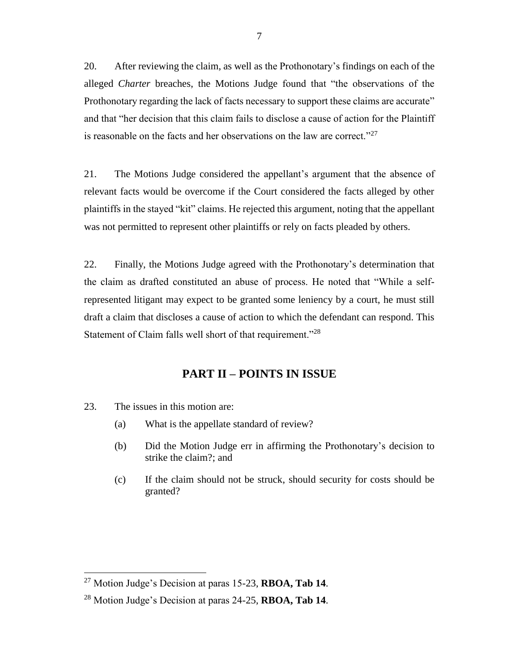20. After reviewing the claim, as well as the Prothonotary's findings on each of the alleged *Charter* breaches, the Motions Judge found that "the observations of the Prothonotary regarding the lack of facts necessary to support these claims are accurate" and that "her decision that this claim fails to disclose a cause of action for the Plaintiff is reasonable on the facts and her observations on the law are correct."<sup>27</sup>

21. The Motions Judge considered the appellant's argument that the absence of relevant facts would be overcome if the Court considered the facts alleged by other plaintiffs in the stayed "kit" claims. He rejected this argument, noting that the appellant was not permitted to represent other plaintiffs or rely on facts pleaded by others.

22. Finally, the Motions Judge agreed with the Prothonotary's determination that the claim as drafted constituted an abuse of process. He noted that "While a selfrepresented litigant may expect to be granted some leniency by a court, he must still draft a claim that discloses a cause of action to which the defendant can respond. This Statement of Claim falls well short of that requirement."<sup>28</sup>

# **PART II – POINTS IN ISSUE**

<span id="page-8-0"></span>23. The issues in this motion are:

- (a) What is the appellate standard of review?
- (b) Did the Motion Judge err in affirming the Prothonotary's decision to strike the claim?; and
- (c) If the claim should not be struck, should security for costs should be granted?

<sup>27</sup> Motion Judge's Decision at paras 15-23, **RBOA, Tab 14**.

<sup>28</sup> Motion Judge's Decision at paras 24-25, **RBOA, Tab 14**.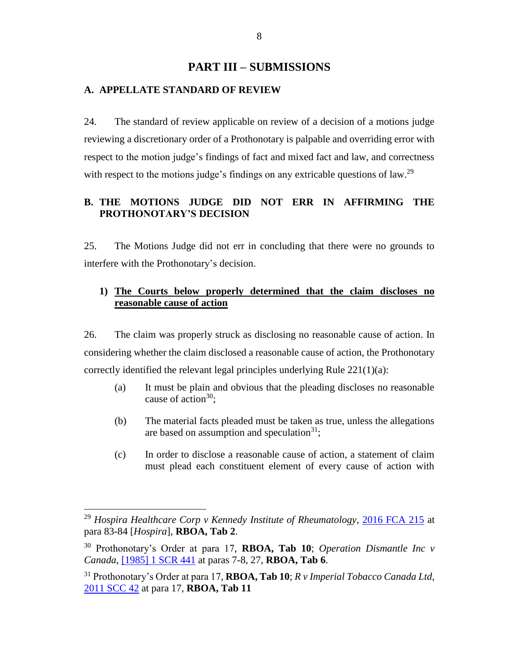## **PART III – SUBMISSIONS**

#### <span id="page-9-1"></span><span id="page-9-0"></span>**A. APPELLATE STANDARD OF REVIEW**

24. The standard of review applicable on review of a decision of a motions judge reviewing a discretionary order of a Prothonotary is palpable and overriding error with respect to the motion judge's findings of fact and mixed fact and law, and correctness with respect to the motions judge's findings on any extricable questions of law.<sup>29</sup>

## <span id="page-9-2"></span>**B. THE MOTIONS JUDGE DID NOT ERR IN AFFIRMING THE PROTHONOTARY'S DECISION**

25. The Motions Judge did not err in concluding that there were no grounds to interfere with the Prothonotary's decision.

## <span id="page-9-3"></span>**1) The Courts below properly determined that the claim discloses no reasonable cause of action**

26. The claim was properly struck as disclosing no reasonable cause of action. In considering whether the claim disclosed a reasonable cause of action, the Prothonotary correctly identified the relevant legal principles underlying Rule  $221(1)(a)$ :

- (a) It must be plain and obvious that the pleading discloses no reasonable cause of action $30$ :
- (b) The material facts pleaded must be taken as true, unless the allegations are based on assumption and speculation $31$ ;
- (c) In order to disclose a reasonable cause of action, a statement of claim must plead each constituent element of every cause of action with

<sup>29</sup> *Hospira Healthcare Corp v Kennedy Institute of Rheumatology*, [2016 FCA 215](https://canlii.ca/t/gt7c8) at para 83-84 [*Hospira*], **RBOA, Tab 2**.

<sup>30</sup> Prothonotary's Order at para 17, **RBOA, Tab 10**; *Operation Dismantle Inc v Canada*, [\[1985\] 1 SCR 441](https://canlii.ca/t/1fv0g) at paras 7-8, 27, **RBOA, Tab 6**.

<sup>31</sup> Prothonotary's Order at para 17, **RBOA, Tab 10**; *R v Imperial Tobacco Canada Ltd*, [2011 SCC 42](https://canlii.ca/t/fmhcz) at para 17, **RBOA, Tab 11**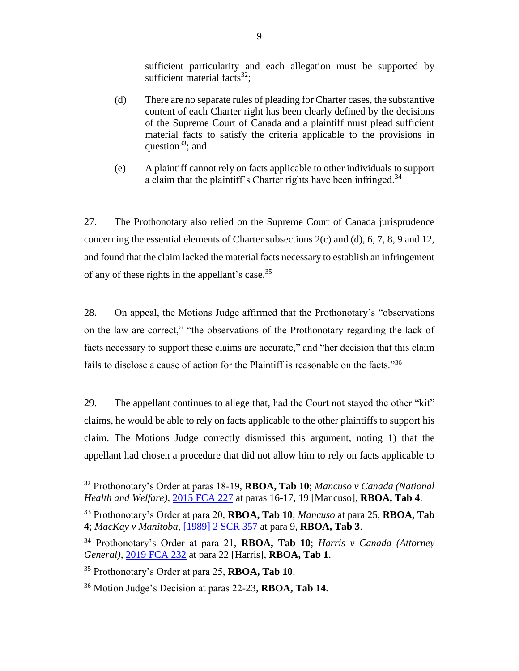sufficient particularity and each allegation must be supported by sufficient material facts $32$ :

- (d) There are no separate rules of pleading for Charter cases, the substantive content of each Charter right has been clearly defined by the decisions of the Supreme Court of Canada and a plaintiff must plead sufficient material facts to satisfy the criteria applicable to the provisions in question<sup>33</sup>; and
- (e) A plaintiff cannot rely on facts applicable to other individuals to support a claim that the plaintiff's Charter rights have been infringed.<sup>34</sup>

27. The Prothonotary also relied on the Supreme Court of Canada jurisprudence concerning the essential elements of Charter subsections 2(c) and (d), 6, 7, 8, 9 and 12, and found that the claim lacked the material facts necessary to establish an infringement of any of these rights in the appellant's case.<sup>35</sup>

28. On appeal, the Motions Judge affirmed that the Prothonotary's "observations on the law are correct," "the observations of the Prothonotary regarding the lack of facts necessary to support these claims are accurate," and "her decision that this claim fails to disclose a cause of action for the Plaintiff is reasonable on the facts."<sup>36</sup>

29. The appellant continues to allege that, had the Court not stayed the other "kit" claims, he would be able to rely on facts applicable to the other plaintiffs to support his claim. The Motions Judge correctly dismissed this argument, noting 1) that the appellant had chosen a procedure that did not allow him to rely on facts applicable to

<sup>32</sup> Prothonotary's Order at paras 18-19, **RBOA, Tab 10**; *Mancuso v Canada (National Health and Welfare)*, [2015 FCA 227](https://canlii.ca/t/glt7z) at paras 16-17, 19 [Mancuso], **RBOA, Tab 4**.

<sup>33</sup> Prothonotary's Order at para 20, **RBOA, Tab 10**; *Mancuso* at para 25, **RBOA, Tab 4**; *MacKay v Manitoba*, [\[1989\] 2 SCR 357](https://canlii.ca/t/1ft3c) at para 9, **RBOA, Tab 3**.

<sup>34</sup> Prothonotary's Order at para 21, **RBOA, Tab 10**; *Harris v Canada (Attorney General)*, [2019 FCA 232](https://canlii.ca/t/j2hcz) at para 22 [Harris], **RBOA, Tab 1**.

<sup>35</sup> Prothonotary's Order at para 25, **RBOA, Tab 10**.

<sup>36</sup> Motion Judge's Decision at paras 22-23, **RBOA, Tab 14**.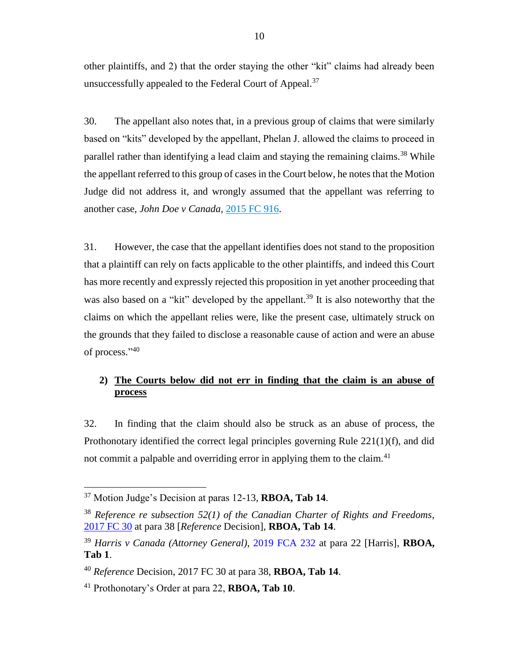other plaintiffs, and 2) that the order staying the other "kit" claims had already been unsuccessfully appealed to the Federal Court of Appeal.<sup>37</sup>

30. The appellant also notes that, in a previous group of claims that were similarly based on "kits" developed by the appellant, Phelan J. allowed the claims to proceed in parallel rather than identifying a lead claim and staying the remaining claims.<sup>38</sup> While the appellant referred to this group of cases in the Court below, he notes that the Motion Judge did not address it, and wrongly assumed that the appellant was referring to another case, *John Doe v Canada*, [2015 FC 916.](https://www.canlii.org/en/ca/fct/doc/2015/2015fc916/2015fc916.html)

31. However, the case that the appellant identifies does not stand to the proposition that a plaintiff can rely on facts applicable to the other plaintiffs, and indeed this Court has more recently and expressly rejected this proposition in yet another proceeding that was also based on a "kit" developed by the appellant.<sup>39</sup> It is also noteworthy that the claims on which the appellant relies were, like the present case, ultimately struck on the grounds that they failed to disclose a reasonable cause of action and were an abuse of process."<sup>40</sup>

# <span id="page-11-0"></span>**2) The Courts below did not err in finding that the claim is an abuse of process**

32. In finding that the claim should also be struck as an abuse of process, the Prothonotary identified the correct legal principles governing Rule 221(1)(f), and did not commit a palpable and overriding error in applying them to the claim.<sup>41</sup>

<sup>37</sup> Motion Judge's Decision at paras 12-13, **RBOA, Tab 14**.

<sup>38</sup> *Reference re subsection 52(1) of the Canadian Charter of Rights and Freedoms*, [2017 FC 30](https://www.canlii.org/en/ca/fct/doc/2017/2017fc30/2017fc30.html?autocompleteStr=2017%20FC%2030%20&autocompletePos=1) at para 38 [*Reference* Decision], **RBOA, Tab 14**.

<sup>39</sup> *Harris v Canada (Attorney General)*, [2019 FCA 232](https://canlii.ca/t/j2hcz) at para 22 [Harris], **RBOA, Tab 1**.

<sup>40</sup> *Reference* Decision, 2017 FC 30 at para 38, **RBOA, Tab 14**.

<sup>41</sup> Prothonotary's Order at para 22, **RBOA, Tab 10**.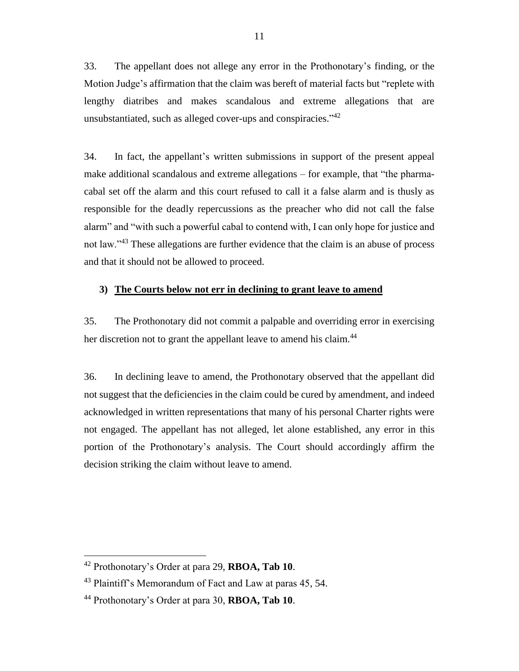33. The appellant does not allege any error in the Prothonotary's finding, or the Motion Judge's affirmation that the claim was bereft of material facts but "replete with lengthy diatribes and makes scandalous and extreme allegations that are unsubstantiated, such as alleged cover-ups and conspiracies."<sup>42</sup>

34. In fact, the appellant's written submissions in support of the present appeal make additional scandalous and extreme allegations – for example, that "the pharmacabal set off the alarm and this court refused to call it a false alarm and is thusly as responsible for the deadly repercussions as the preacher who did not call the false alarm" and "with such a powerful cabal to contend with, I can only hope for justice and not law."<sup>43</sup> These allegations are further evidence that the claim is an abuse of process and that it should not be allowed to proceed.

#### <span id="page-12-0"></span>**3) The Courts below not err in declining to grant leave to amend**

35. The Prothonotary did not commit a palpable and overriding error in exercising her discretion not to grant the appellant leave to amend his claim.<sup>44</sup>

36. In declining leave to amend, the Prothonotary observed that the appellant did not suggest that the deficiencies in the claim could be cured by amendment, and indeed acknowledged in written representations that many of his personal Charter rights were not engaged. The appellant has not alleged, let alone established, any error in this portion of the Prothonotary's analysis. The Court should accordingly affirm the decision striking the claim without leave to amend.

<sup>42</sup> Prothonotary's Order at para 29, **RBOA, Tab 10**.

<sup>&</sup>lt;sup>43</sup> Plaintiff's Memorandum of Fact and Law at paras 45, 54.

<sup>44</sup> Prothonotary's Order at para 30, **RBOA, Tab 10**.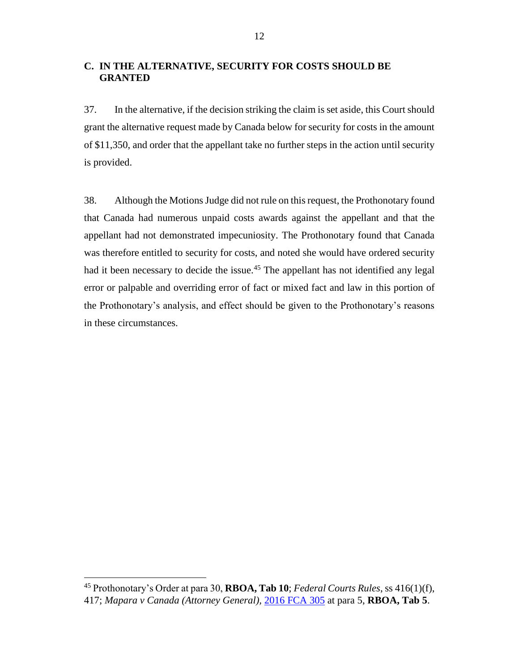## <span id="page-13-0"></span>**C. IN THE ALTERNATIVE, SECURITY FOR COSTS SHOULD BE GRANTED**

37. In the alternative, if the decision striking the claim is set aside, this Court should grant the alternative request made by Canada below for security for costs in the amount of \$11,350, and order that the appellant take no further steps in the action until security is provided.

38. Although the Motions Judge did not rule on this request, the Prothonotary found that Canada had numerous unpaid costs awards against the appellant and that the appellant had not demonstrated impecuniosity. The Prothonotary found that Canada was therefore entitled to security for costs, and noted she would have ordered security had it been necessary to decide the issue.<sup>45</sup> The appellant has not identified any legal error or palpable and overriding error of fact or mixed fact and law in this portion of the Prothonotary's analysis, and effect should be given to the Prothonotary's reasons in these circumstances.

<sup>45</sup> Prothonotary's Order at para 30, **RBOA, Tab 10**; *Federal Courts Rules*, ss 416(1)(f), 417; *Mapara v Canada (Attorney General),* [2016 FCA 305](https://canlii.ca/t/gw02b) at para 5, **RBOA, Tab 5**.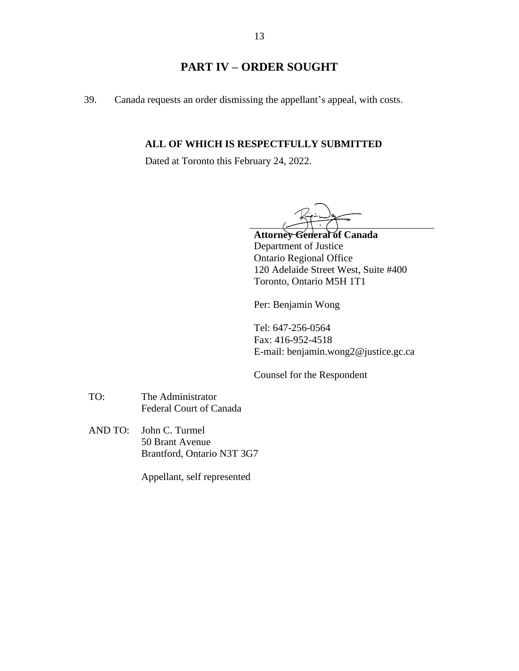# **PART IV – ORDER SOUGHT**

<span id="page-14-0"></span>39. Canada requests an order dismissing the appellant's appeal, with costs.

#### **ALL OF WHICH IS RESPECTFULLY SUBMITTED**

Dated at Toronto this February 24, 2022.

**Attorney General of Canada** Department of Justice Ontario Regional Office 120 Adelaide Street West, Suite #400 Toronto, Ontario M5H 1T1

Per: Benjamin Wong

Tel: 647-256-0564 Fax: 416-952-4518 E-mail: benjamin.wong2@justice.gc.ca

Counsel for the Respondent

- TO: The Administrator Federal Court of Canada
- AND TO: John C. Turmel 50 Brant Avenue Brantford, Ontario N3T 3G7

Appellant, self represented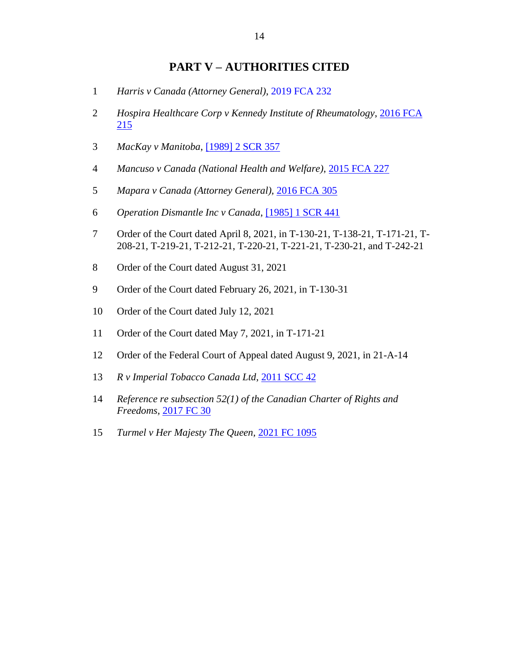# **PART V – AUTHORITIES CITED**

- <span id="page-15-0"></span>*Harris v Canada (Attorney General)*, [2019 FCA 232](https://canlii.ca/t/j2hcz)
- *Hospira Healthcare Corp v Kennedy Institute of Rheumatology*, [2016 FCA](https://canlii.ca/t/gt7c8)
- *MacKay v Manitoba*, [\[1989\] 2 SCR 357](https://canlii.ca/t/1ft3c)
- *Mancuso v Canada (National Health and Welfare)*, [2015 FCA 227](https://canlii.ca/t/glt7z)
- *Mapara v Canada (Attorney General),* [2016 FCA 305](https://canlii.ca/t/gw02b)
- *Operation Dismantle Inc v Canada*, [\[1985\] 1 SCR 441](https://canlii.ca/t/1fv0g)
- Order of the Court dated April 8, 2021, in T-130-21, T-138-21, T-171-21, T-208-21, T-219-21, T-212-21, T-220-21, T-221-21, T-230-21, and T-242-21
- Order of the Court dated August 31, 2021
- Order of the Court dated February 26, 2021, in T-130-31
- Order of the Court dated July 12, 2021
- Order of the Court dated May 7, 2021, in T-171-21
- Order of the Federal Court of Appeal dated August 9, 2021, in 21-A-14
- *R v Imperial Tobacco Canada Ltd*, [2011 SCC 42](https://canlii.ca/t/fmhcz)
- *Reference re subsection 52(1) of the Canadian Charter of Rights and Freedoms,* [2017 FC 30](https://www.canlii.org/en/ca/fct/doc/2017/2017fc30/2017fc30.html?autocompleteStr=2017%20FC%2030&autocompletePos=1)
- *Turmel v Her Majesty The Queen,* [2021 FC 1095](https://www.canlii.org/en/ca/fct/doc/2021/2021fc1095/2021fc1095.html?autocompleteStr=2021%20FC%20109&autocompletePos=4)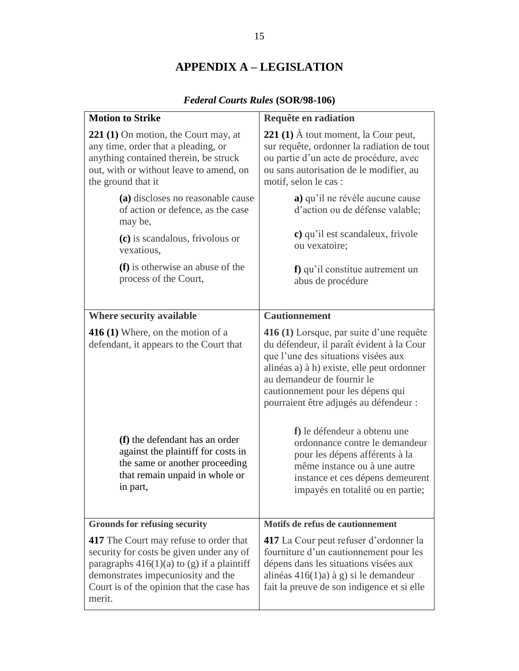# **APPENDIX A – LEGISLATION**

<span id="page-16-0"></span>

| <b>Motion to Strike</b>                                                                                                                                                                                                                | Requête en radiation                                                                                                                                                                                                                                                                    |
|----------------------------------------------------------------------------------------------------------------------------------------------------------------------------------------------------------------------------------------|-----------------------------------------------------------------------------------------------------------------------------------------------------------------------------------------------------------------------------------------------------------------------------------------|
| <b>221 (1)</b> On motion, the Court may, at<br>any time, order that a pleading, or<br>anything contained therein, be struck<br>out, with or without leave to amend, on<br>the ground that it                                           | <b>221 (1)</b> $\dot{A}$ tout moment, la Cour peut,<br>sur requête, ordonner la radiation de tout<br>ou partie d'un acte de procédure, avec<br>ou sans autorisation de le modifier, au<br>motif, selon le cas :                                                                         |
| (a) discloses no reasonable cause<br>of action or defence, as the case<br>may be,                                                                                                                                                      | a) qu'il ne révèle aucune cause<br>d'action ou de défense valable;                                                                                                                                                                                                                      |
| (c) is scandalous, frivolous or<br>vexatious,                                                                                                                                                                                          | c) qu'il est scandaleux, frivole<br>ou vexatoire;                                                                                                                                                                                                                                       |
| (f) is otherwise an abuse of the<br>process of the Court,                                                                                                                                                                              | f) qu'il constitue autrement un<br>abus de procédure                                                                                                                                                                                                                                    |
| Where security available                                                                                                                                                                                                               | <b>Cautionnement</b>                                                                                                                                                                                                                                                                    |
| <b>416 (1)</b> Where, on the motion of a<br>defendant, it appears to the Court that                                                                                                                                                    | 416 (1) Lorsque, par suite d'une requête<br>du défendeur, il paraît évident à la Cour<br>que l'une des situations visées aux<br>alinéas a) à h) existe, elle peut ordonner<br>au demandeur de fournir le<br>cautionnement pour les dépens qui<br>pourraient être adjugés au défendeur : |
| (f) the defendant has an order<br>against the plaintiff for costs in<br>the same or another proceeding<br>that remain unpaid in whole or<br>in part,                                                                                   | f) le défendeur a obtenu une<br>ordonnance contre le demandeur<br>pour les dépens afférents à la<br>même instance ou à une autre<br>instance et ces dépens demeurent<br>impayés en totalité ou en partie;                                                                               |
| <b>Grounds for refusing security</b>                                                                                                                                                                                                   | Motifs de refus de cautionnement                                                                                                                                                                                                                                                        |
| <b>417</b> The Court may refuse to order that<br>security for costs be given under any of<br>paragraphs $416(1)(a)$ to (g) if a plaintiff<br>demonstrates impecuniosity and the<br>Court is of the opinion that the case has<br>merit. | 417 La Cour peut refuser d'ordonner la<br>fourniture d'un cautionnement pour les<br>dépens dans les situations visées aux<br>alinéas $416(1)a$ ) à g) si le demandeur<br>fait la preuve de son indigence et si elle                                                                     |

# *Federal Courts Rules* **(SOR/98-106)**